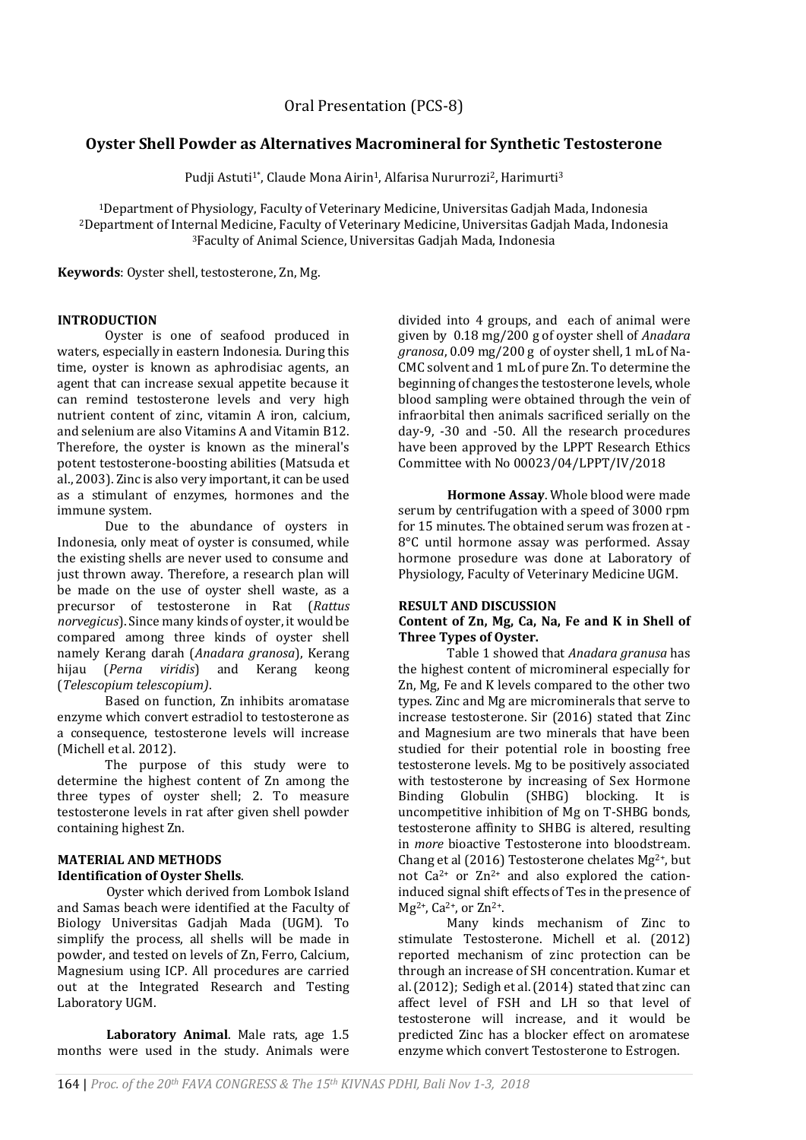# **Oyster Shell Powder as Alternatives Macromineral for Synthetic Testosterone**

Pudji Astuti<sup>1\*</sup>, Claude Mona Airin<sup>1</sup>, Alfarisa Nururrozi<sup>2</sup>, Harimurti<sup>3</sup>

<sup>1</sup>Department of Physiology, Faculty of Veterinary Medicine, Universitas Gadjah Mada, Indonesia <sup>2</sup>Department of Internal Medicine, Faculty of Veterinary Medicine, Universitas Gadjah Mada, Indonesia <sup>3</sup>Faculty of Animal Science, Universitas Gadjah Mada, Indonesia

**Keywords**: Oyster shell, testosterone, Zn, Mg.

## **INTRODUCTION**

Oyster is one of seafood produced in waters, especially in eastern Indonesia. During this time, oyster is known as aphrodisiac agents, an agent that can increase sexual appetite because it can remind testosterone levels and very high nutrient content of zinc, vitamin A iron, calcium, and selenium are also Vitamins A and Vitamin B12. Therefore, the oyster is known as the mineral's potent testosterone-boosting abilities (Matsuda et al., 2003). Zinc is also very important, it can be used as a stimulant of enzymes, hormones and the immune system.

Due to the abundance of oysters in Indonesia, only meat of oyster is consumed, while the existing shells are never used to consume and just thrown away. Therefore, a research plan will be made on the use of oyster shell waste, as a precursor of testosterone in Rat (*Rattus norvegicus*). Since many kinds of oyster, it would be compared among three kinds of oyster shell namely Kerang darah (*Anadara granosa*), Kerang hijau (*Perna viridis*) and Kerang keong (*Telescopium telescopium)*.

Based on function, Zn inhibits aromatase enzyme which convert estradiol to testosterone as a consequence, testosterone levels will increase (Michell et al. 2012).

The purpose of this study were to determine the highest content of Zn among the three types of oyster shell; 2. To measure testosterone levels in rat after given shell powder containing highest Zn.

### **MATERIAL AND METHODS Identification of Oyster Shells**.

Oyster which derived from Lombok Island and Samas beach were identified at the Faculty of Biology Universitas Gadjah Mada (UGM). To simplify the process, all shells will be made in powder, and tested on levels of Zn, Ferro, Calcium, Magnesium using ICP. All procedures are carried out at the Integrated Research and Testing Laboratory UGM.

**Laboratory Animal**. Male rats, age 1.5 months were used in the study. Animals were divided into 4 groups, and each of animal were given by 0.18 mg/200 g of oyster shell of *Anadara granosa*, 0.09 mg/200 g of oyster shell, 1 mL of Na-CMC solvent and 1 mL of pure Zn. To determine the beginning of changes the testosterone levels, whole blood sampling were obtained through the vein of infraorbital then animals sacrificed serially on the day-9, -30 and -50. All the research procedures have been approved by the LPPT Research Ethics Committee with No 00023/04/LPPT/IV/2018

**Hormone Assay**. Whole blood were made serum by centrifugation with a speed of 3000 rpm for 15 minutes. The obtained serum was frozen at - 8°C until hormone assay was performed. Assay hormone prosedure was done at Laboratory of Physiology, Faculty of Veterinary Medicine UGM.

## **RESULT AND DISCUSSION**

### **Content of Zn, Mg, Ca, Na, Fe and K in Shell of Three Types of Oyster.**

Table 1 showed that *Anadara granusa* has the highest content of micromineral especially for Zn, Mg, Fe and K levels compared to the other two types. Zinc and Mg are microminerals that serve to increase testosterone. Sir (2016) stated that Zinc and Magnesium are two minerals that have been studied for their potential role in boosting free testosterone levels. Mg to be positively associated with testosterone by increasing of Sex Hormone Binding Globulin (SHBG) blocking. It is uncompetitive inhibition of Mg on T-SHBG bonds*,* testosterone affinity to SHBG is altered, resulting in *more* bioactive Testosterone into bloodstream. Chang et al (2016) Testosterone chelates  $Mg^{2+}$ , but not  $Ca^{2+}$  or  $Zn^{2+}$  and also explored the cationinduced signal shift effects of Tes in the presence of  $Mg^{2+}$ , Ca<sup>2+</sup>, or Zn<sup>2+</sup>.

Many kinds mechanism of Zinc to stimulate Testosterone. Michell et al. (2012) reported mechanism of zinc protection can be through an increase of SH concentration. Kumar et al. (2012); Sedigh et al. (2014) stated that zinc can affect level of FSH and LH so that level of testosterone will increase, and it would be predicted Zinc has a blocker effect on aromatese enzyme which convert Testosterone to Estrogen.